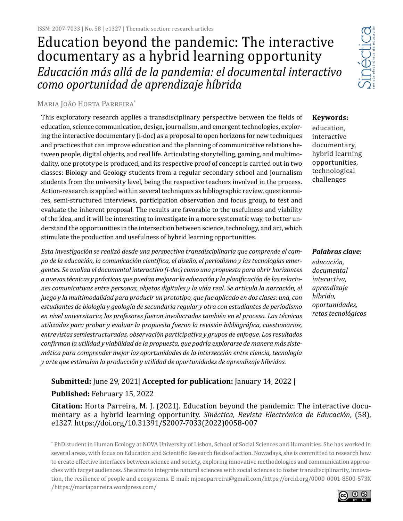# *Educación más allá de la pandemia: el documental interactivo como oportunidad de aprendizaje híbrida* Education beyond the pandemic: The interactive documentary as a hybrid learning opportunity



#### Maria João Horta Parreira<sup>\*</sup>

This exploratory research applies a transdisciplinary perspective between the fields of education, science communication, design, journalism, and emergent technologies, exploring the interactive documentary (i-doc) as a proposal to open horizons for new techniques and practices that can improve education and the planning of communicative relations between people, digital objects, and real life. Articulating storytelling, gaming, and multimodality, one prototype is produced, and its respective proof of concept is carried out in two classes: Biology and Geology students from a regular secondary school and Journalism students from the university level, being the respective teachers involved in the process. Action-research is applied within several techniques as bibliographic review, questionnaires, semi-structured interviews, participation observation and focus group, to test and evaluate the inherent proposal. The results are favorable to the usefulness and viability of the idea, and it will be interesting to investigate in a more systematic way, to better understand the opportunities in the intersection between science, technology, and art, which stimulate the production and usefulness of hybrid learning opportunities.

*Esta investigación se realizó desde una perspectiva transdisciplinaria que comprende el campo de la educación, la comunicación científica, el diseño, el periodismo y las tecnologías emergentes. Se analiza el documental interactivo (i-doc) como una propuesta para abrir horizontes a nuevas técnicas y prácticas que puedan mejorar la educación y la planificación de las relaciones comunicativas entre personas, objetos digitales y la vida real. Se articula la narración, el juego y la multimodalidad para producir un prototipo, que fue aplicado en dos clases: una, con estudiantes de biología y geología de secundaria regular y otra con estudiantes de periodismo en nivel universitario; los profesores fueron involucrados también en el proceso. Las técnicas utilizadas para probar y evaluar la propuesta fueron la revisión bibliográfica, cuestionarios, entrevistas semiestructuradas, observación participativa y grupos de enfoque. Los resultados confirman la utilidad y viabilidad de la propuesta, que podría explorarse de manera más sistemática para comprender mejor las oportunidades de la intersección entre ciencia, tecnología y arte que estimulan la producción y utilidad de oportunidades de aprendizaje híbridas.*

# **Submitted:** June 29, 2021| **Accepted for publication:** January 14, 2022 | **Published:** February 15, 2022

**Citation:** Horta Parreira, M. J. (2021). Education beyond the pandemic: The interactive documentary as a hybrid learning opportunity. *Sinéctica, Revista Electrónica de Educación*, (58), e1327. https://doi.org/10.31391/S2007-7033(2022)0058-007

\* PhD student in Human Ecology at NOVA University of Lisbon, School of Social Sciences and Humanities. She has worked in several areas, with focus on Education and Scientific Research fields of action. Nowadays, she is committed to research how to create effective interfaces between science and society, exploring innovative methodologies and communication approaches with target audiences. She aims to integrate natural sciences with social sciences to foster transdisciplinarity, innovation, the resilience of people and ecosystems. E-mail: mjoaoparreira@gmail.com/https://orcid.org/0000-0001-8500-573X /https://mariaparreira.wordpress.com/

education, interactive documentary, hybrid learning opportunities, technological challenges

**Keywords:** 

*Palabras clave: educación, documental interactiva, aprendizaje híbrido, oportunidades, retos tecnológicos*

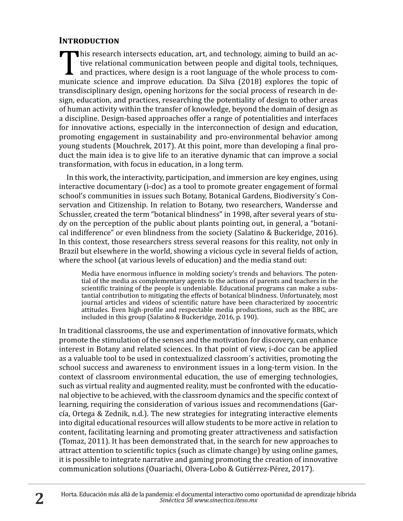## **Introduction**

This research intersects education, art, and technology, aiming to build an ac-<br>tive relational communication between people and digital tools, techniques,<br>and practices, where design is a root language of the whole proces tive relational communication between people and digital tools, techniques, and practices, where design is a root language of the whole process to communicate science and improve education. Da Silva (2018) explores the topic of transdisciplinary design, opening horizons for the social process of research in design, education, and practices, researching the potentiality of design to other areas of human activity within the transfer of knowledge, beyond the domain of design as a discipline. Design-based approaches offer a range of potentialities and interfaces for innovative actions, especially in the interconnection of design and education, promoting engagement in sustainability and pro-environmental behavior among young students (Mouchrek, 2017). At this point, more than developing a final product the main idea is to give life to an iterative dynamic that can improve a social transformation, with focus in education, in a long term.

In this work, the interactivity, participation, and immersion are key engines, using interactive documentary (i-doc) as a tool to promote greater engagement of formal school's communities in issues such Botany, Botanical Gardens, Biodiversity´s Conservation and Citizenship. In relation to Botany, two researchers, Wandersse and Schussler, created the term "botanical blindness" in 1998, after several years of study on the perception of the public about plants pointing out, in general, a "botanical indifference" or even blindness from the society (Salatino & Buckeridge, 2016). In this context, those researchers stress several reasons for this reality, not only in Brazil but elsewhere in the world, showing a vicious cycle in several fields of action, where the school (at various levels of education) and the media stand out:

Media have enormous influence in molding society's trends and behaviors. The potential of the media as complementary agents to the actions of parents and teachers in the scientific training of the people is undeniable. Educational programs can make a substantial contribution to mitigating the effects of botanical blindness. Unfortunately, most journal articles and videos of scientific nature have been characterized by zoocentric attitudes. Even high-profile and respectable media productions, such as the BBC, are included in this group (Salatino & Buckeridge, 2016, p. 190).

In traditional classrooms, the use and experimentation of innovative formats, which promote the stimulation of the senses and the motivation for discovery, can enhance interest in Botany and related sciences. In that point of view, i-doc can be applied as a valuable tool to be used in contextualized classroom´s activities, promoting the school success and awareness to environment issues in a long-term vision. In the context of classroom environmental education, the use of emerging technologies, such as virtual reality and augmented reality, must be confronted with the educational objective to be achieved, with the classroom dynamics and the specific context of learning, requiring the consideration of various issues and recommendations (García, Ortega & Zednik, n.d.). The new strategies for integrating interactive elements into digital educational resources will allow students to be more active in relation to content, facilitating learning and promoting greater attractiveness and satisfaction (Tomaz, 2011). It has been demonstrated that, in the search for new approaches to attract attention to scientific topics (such as climate change) by using online games, it is possible to integrate narrative and gaming promoting the creation of innovative communication solutions (Ouariachi, Olvera-Lobo & Gutiérrez-Pérez, 2017).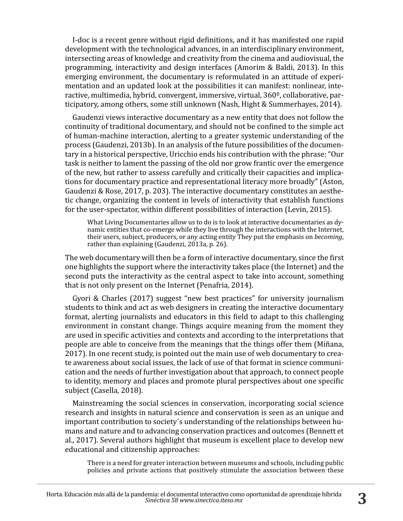I-doc is a recent genre without rigid definitions, and it has manifested one rapid development with the technological advances, in an interdisciplinary environment, intersecting areas of knowledge and creativity from the cinema and audiovisual, the programming, interactivity and design interfaces (Amorim & Baldi, 2013). In this emerging environment, the documentary is reformulated in an attitude of experimentation and an updated look at the possibilities it can manifest: nonlinear, interactive, multimedia, hybrid, convergent, immersive, virtual, 360º, collaborative, participatory, among others, some still unknown (Nash, Hight & Summerhayes, 2014).

Gaudenzi views interactive documentary as a new entity that does not follow the continuity of traditional documentary, and should not be confined to the simple act of human-machine interaction, alerting to a greater systemic understanding of the process (Gaudenzi, 2013b). In an analysis of the future possibilities of the documentary in a historical perspective, Uricchio ends his contribution with the phrase: "Our task is neither to lament the passing of the old nor grow frantic over the emergence of the new, but rather to assess carefully and critically their capacities and implications for documentary practice and representational literacy more broadly" (Aston, Gaudenzi & Rose, 2017, p. 203). The interactive documentary constitutes an aesthetic change, organizing the content in levels of interactivity that establish functions for the user-spectator, within different possibilities of interaction (Levin, 2015).

What Living Documentaries allow us to do is to look at interactive documentaries as dynamic entities that co-emerge while they live through the interactions with the Internet, their users, subject, producers, or any acting entity They put the emphasis on *becoming*, rather than explaining (Gaudenzi, 2013a, p. 26).

The web documentary will then be a form of interactive documentary, since the first one highlights the support where the interactivity takes place (the Internet) and the second puts the interactivity as the central aspect to take into account, something that is not only present on the Internet (Penafria, 2014).

Gyori & Charles (2017) suggest "new best practices" for university journalism students to think and act as web designers in creating the interactive documentary format, alerting journalists and educators in this field to adapt to this challenging environment in constant change. Things acquire meaning from the moment they are used in specific activities and contexts and according to the interpretations that people are able to conceive from the meanings that the things offer them (Miñana, 2017). In one recent study, is pointed out the main use of web documentary to create awareness about social issues, the lack of use of that format in science communication and the needs of further investigation about that approach, to connect people to identity, memory and places and promote plural perspectives about one specific subject (Casella, 2018).

Mainstreaming the social sciences in conservation, incorporating social science research and insights in natural science and conservation is seen as an unique and important contribution to society´s understanding of the relationships between humans and nature and to advancing conservation practices and outcomes (Bennett et al., 2017). Several authors highlight that museum is excellent place to develop new educational and citizenship approaches:

There is a need for greater interaction between museums and schools, including public policies and private actions that positively stimulate the association between these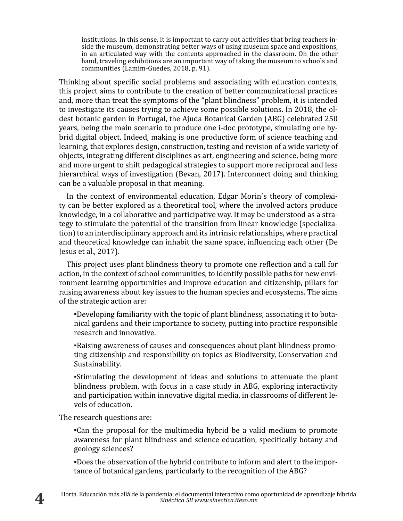institutions. In this sense, it is important to carry out activities that bring teachers inside the museum, demonstrating better ways of using museum space and expositions, in an articulated way with the contents approached in the classroom. On the other hand, traveling exhibitions are an important way of taking the museum to schools and communities (Lamim-Guedes, 2018, p. 91).

Thinking about specific social problems and associating with education contexts, this project aims to contribute to the creation of better communicational practices and, more than treat the symptoms of the "plant blindness" problem, it is intended to investigate its causes trying to achieve some possible solutions. In 2018, the oldest botanic garden in Portugal, the Ajuda Botanical Garden (ABG) celebrated 250 years, being the main scenario to produce one i-doc prototype, simulating one hybrid digital object. Indeed, making is one productive form of science teaching and learning, that explores design, construction, testing and revision of a wide variety of objects, integrating different disciplines as art, engineering and science, being more and more urgent to shift pedagogical strategies to support more reciprocal and less hierarchical ways of investigation (Bevan, 2017). Interconnect doing and thinking can be a valuable proposal in that meaning.

In the context of environmental education, Edgar Morin´s theory of complexity can be better explored as a theoretical tool, where the involved actors produce knowledge, in a collaborative and participative way. It may be understood as a strategy to stimulate the potential of the transition from linear knowledge (specialization) to an interdisciplinary approach and its intrinsic relationships, where practical and theoretical knowledge can inhabit the same space, influencing each other (De Jesus et al., 2017).

This project uses plant blindness theory to promote one reflection and a call for action, in the context of school communities, to identify possible paths for new environment learning opportunities and improve education and citizenship, pillars for raising awareness about key issues to the human species and ecosystems. The aims of the strategic action are:

▪Developing familiarity with the topic of plant blindness, associating it to botanical gardens and their importance to society, putting into practice responsible research and innovative.

▪Raising awareness of causes and consequences about plant blindness promoting citizenship and responsibility on topics as Biodiversity, Conservation and Sustainability.

▪Stimulating the development of ideas and solutions to attenuate the plant blindness problem, with focus in a case study in ABG, exploring interactivity and participation within innovative digital media, in classrooms of different levels of education.

The research questions are:

▪Can the proposal for the multimedia hybrid be a valid medium to promote awareness for plant blindness and science education, specifically botany and geology sciences?

▪Does the observation of the hybrid contribute to inform and alert to the importance of botanical gardens, particularly to the recognition of the ABG?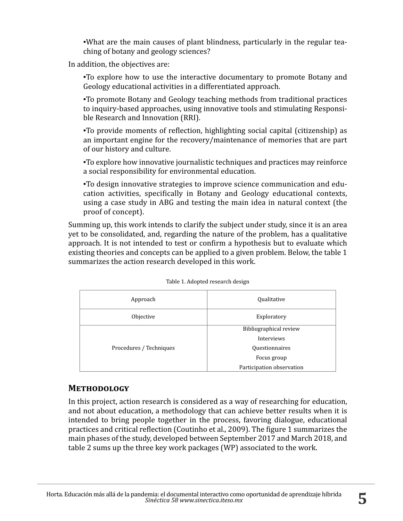▪What are the main causes of plant blindness, particularly in the regular teaching of botany and geology sciences?

In addition, the objectives are:

▪To explore how to use the interactive documentary to promote Botany and Geology educational activities in a differentiated approach.

▪To promote Botany and Geology teaching methods from traditional practices to inquiry-based approaches, using innovative tools and stimulating Responsible Research and Innovation (RRI).

▪To provide moments of reflection, highlighting social capital (citizenship) as an important engine for the recovery/maintenance of memories that are part of our history and culture.

▪To explore how innovative journalistic techniques and practices may reinforce a social responsibility for environmental education.

▪To design innovative strategies to improve science communication and education activities, specifically in Botany and Geology educational contexts, using a case study in ABG and testing the main idea in natural context (the proof of concept).

Summing up, this work intends to clarify the subject under study, since it is an area yet to be consolidated, and, regarding the nature of the problem, has a qualitative approach. It is not intended to test or confirm a hypothesis but to evaluate which existing theories and concepts can be applied to a given problem. Below, the table 1 summarizes the action research developed in this work.

| Approach                | Qualitative               |
|-------------------------|---------------------------|
| Objective               | Exploratory               |
|                         | Bibliographical review    |
|                         | Interviews                |
| Procedures / Techniques | Questionnaires            |
|                         | Focus group               |
|                         | Participation observation |

| Table 1. Adopted research design |  |
|----------------------------------|--|
|----------------------------------|--|

# **Methodology**

In this project, action research is considered as a way of researching for education, and not about education, a methodology that can achieve better results when it is intended to bring people together in the process, favoring dialogue, educational practices and critical reflection (Coutinho et al., 2009). The figure 1 summarizes the main phases of the study, developed between September 2017 and March 2018, and table 2 sums up the three key work packages (WP) associated to the work.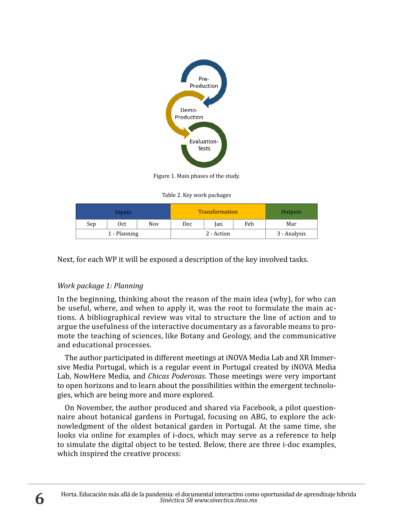

Figure 1. Main phases of the study.

Table 2. Key work packages

|     | Inputs       |            |     | <b>Transformation</b> |     | Outputs      |
|-----|--------------|------------|-----|-----------------------|-----|--------------|
| Sep | 0ct          | <b>Nov</b> | Dec | lan                   | Feb | Mar          |
|     | 1 - Planning |            |     | 2 - Action            |     | 3 - Analysis |

Next, for each WP it will be exposed a description of the key involved tasks.

## *Work package 1: Planning*

In the beginning, thinking about the reason of the main idea (why), for who can be useful, where, and when to apply it, was the root to formulate the main actions. A bibliographical review was vital to structure the line of action and to argue the usefulness of the interactive documentary as a favorable means to promote the teaching of sciences, like Botany and Geology, and the communicative and educational processes.

The author participated in different meetings at iNOVA Media Lab and XR Immersive Media Portugal, which is a regular event in Portugal created by iNOVA Media Lab, NowHere Media, and *Chicas Poderosas*. Those meetings were very important to open horizons and to learn about the possibilities within the emergent technologies, which are being more and more explored.

On November, the author produced and shared via Facebook, a pilot questionnaire about botanical gardens in Portugal, focusing on ABG, to explore the acknowledgment of the oldest botanical garden in Portugal. At the same time, she looks via online for examples of i-docs, which may serve as a reference to help to simulate the digital object to be tested. Below, there are three i-doc examples, which inspired the creative process: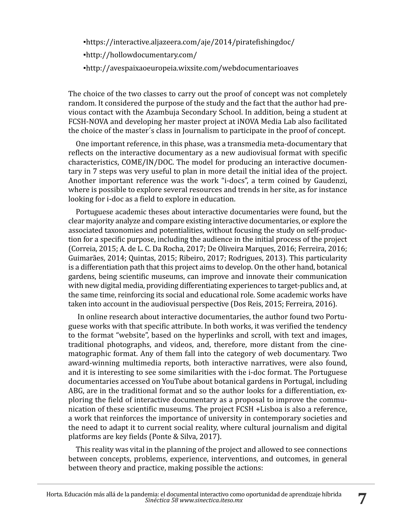▪https://interactive.aljazeera.com/aje/2014/piratefishingdoc/ ▪http://hollowdocumentary.com/ ▪http://avespaixaoeuropeia.wixsite.com/webdocumentarioaves

The choice of the two classes to carry out the proof of concept was not completely random. It considered the purpose of the study and the fact that the author had previous contact with the Azambuja Secondary School. In addition, being a student at FCSH-NOVA and developing her master project at iNOVA Media Lab also facilitated the choice of the master´s class in Journalism to participate in the proof of concept.

One important reference, in this phase, was a transmedia meta-documentary that reflects on the interactive documentary as a new audiovisual format with specific characteristics, COME/IN/DOC. The model for producing an interactive documentary in 7 steps was very useful to plan in more detail the initial idea of the project. Another important reference was the work "i-docs", a term coined by Gaudenzi, where is possible to explore several resources and trends in her site, as for instance looking for i-doc as a field to explore in education.

Portuguese academic theses about interactive documentaries were found, but the clear majority analyze and compare existing interactive documentaries, or explore the associated taxonomies and potentialities, without focusing the study on self-production for a specific purpose, including the audience in the initial process of the project (Correia, 2015; A. de L. C. Da Rocha, 2017; De Oliveira Marques, 2016; Ferreira, 2016; Guimarães, 2014; Quintas, 2015; Ribeiro, 2017; Rodrigues, 2013). This particularity is a differentiation path that this project aims to develop. On the other hand, botanical gardens, being scientific museums, can improve and innovate their communication with new digital media, providing differentiating experiences to target-publics and, at the same time, reinforcing its social and educational role. Some academic works have taken into account in the audiovisual perspective (Dos Reis, 2015; Ferreira, 2016).

 In online research about interactive documentaries, the author found two Portuguese works with that specific attribute. In both works, it was verified the tendency to the format "website", based on the hyperlinks and scroll, with text and images, traditional photographs, and videos, and, therefore, more distant from the cinematographic format. Any of them fall into the category of web documentary. Two award-winning multimedia reports, both interactive narratives, were also found, and it is interesting to see some similarities with the i-doc format. The Portuguese documentaries accessed on YouTube about botanical gardens in Portugal, including ABG, are in the traditional format and so the author looks for a differentiation, exploring the field of interactive documentary as a proposal to improve the communication of these scientific museums. The project FCSH +Lisboa is also a reference, a work that reinforces the importance of university in contemporary societies and the need to adapt it to current social reality, where cultural journalism and digital platforms are key fields (Ponte & Silva, 2017).

This reality was vital in the planning of the project and allowed to see connections between concepts, problems, experience, interventions, and outcomes, in general between theory and practice, making possible the actions: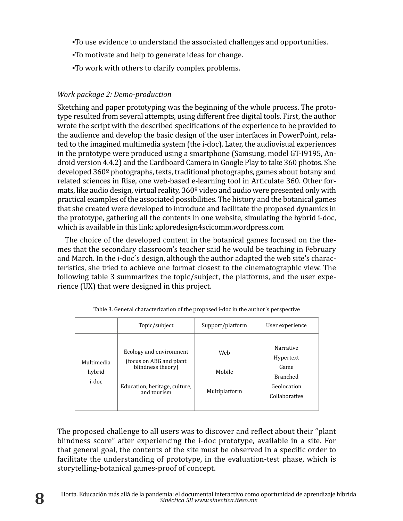- ▪To use evidence to understand the associated challenges and opportunities.
- ▪To motivate and help to generate ideas for change.
- ▪To work with others to clarify complex problems.

# *Work package 2: Demo-production*

Sketching and paper prototyping was the beginning of the whole process. The prototype resulted from several attempts, using different free digital tools. First, the author wrote the script with the described specifications of the experience to be provided to the audience and develop the basic design of the user interfaces in PowerPoint, related to the imagined multimedia system (the i-doc). Later, the audiovisual experiences in the prototype were produced using a smartphone (Samsung, model GT-I9195, Android version 4.4.2) and the Cardboard Camera in Google Play to take 360 photos. She developed 360º photographs, texts, traditional photographs, games about botany and related sciences in Rise, one web-based e-learning tool in Articulate 360. Other formats, like audio design, virtual reality, 360º video and audio were presented only with practical examples of the associated possibilities. The history and the botanical games that she created were developed to introduce and facilitate the proposed dynamics in the prototype, gathering all the contents in one website, simulating the hybrid i-doc, which is available in this link: xploredesign4scicomm.wordpress.com

The choice of the developed content in the botanical games focused on the themes that the secondary classroom's teacher said he would be teaching in February and March. In the i-doc´s design, although the author adapted the web site's characteristics, she tried to achieve one format closest to the cinematographic view. The following table 3 summarizes the topic/subject, the platforms, and the user experience (UX) that were designed in this project.

|                               | Topic/subject                                                                                                            | Support/platform               | User experience                                                                   |
|-------------------------------|--------------------------------------------------------------------------------------------------------------------------|--------------------------------|-----------------------------------------------------------------------------------|
| Multimedia<br>hybrid<br>i-doc | Ecology and environment<br>(focus on ABG and plant)<br>blindness theory)<br>Education, heritage, culture,<br>and tourism | Web<br>Mobile<br>Multiplatform | Narrative<br>Hypertext<br>Game<br><b>Branched</b><br>Geolocation<br>Collaborative |

| Table 3. General characterization of the proposed <i>i</i> -doc in the author's perspective |  |  |
|---------------------------------------------------------------------------------------------|--|--|
|                                                                                             |  |  |

The proposed challenge to all users was to discover and reflect about their "plant blindness score" after experiencing the i-doc prototype, available in a site. For that general goal, the contents of the site must be observed in a specific order to facilitate the understanding of prototype, in the evaluation-test phase, which is storytelling-botanical games-proof of concept.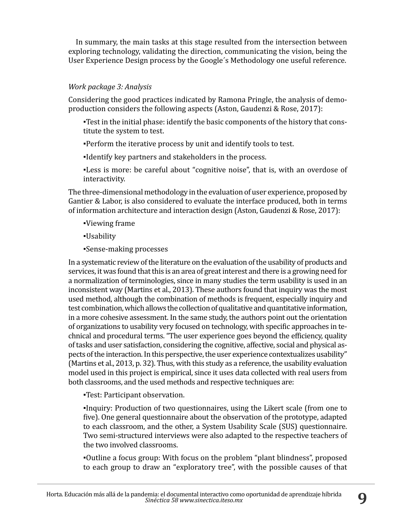In summary, the main tasks at this stage resulted from the intersection between exploring technology, validating the direction, communicating the vision, being the User Experience Design process by the Google´s Methodology one useful reference.

#### *Work package 3: Analysis*

Considering the good practices indicated by Ramona Pringle, the analysis of demoproduction considers the following aspects (Aston, Gaudenzi & Rose, 2017):

▪Test in the initial phase: identify the basic components of the history that constitute the system to test.

▪Perform the iterative process by unit and identify tools to test.

▪Identify key partners and stakeholders in the process.

▪Less is more: be careful about "cognitive noise", that is, with an overdose of interactivity.

The three-dimensional methodology in the evaluation of user experience, proposed by Gantier & Labor, is also considered to evaluate the interface produced, both in terms of information architecture and interaction design (Aston, Gaudenzi & Rose, 2017):

▪Viewing frame

▪Usability

▪Sense-making processes

In a systematic review of the literature on the evaluation of the usability of products and services, it was found that this is an area of great interest and there is a growing need for a normalization of terminologies, since in many studies the term usability is used in an inconsistent way (Martins et al., 2013). These authors found that inquiry was the most used method, although the combination of methods is frequent, especially inquiry and test combination, which allows the collection of qualitative and quantitative information, in a more cohesive assessment. In the same study, the authors point out the orientation of organizations to usability very focused on technology, with specific approaches in technical and procedural terms. "The user experience goes beyond the efficiency, quality of tasks and user satisfaction, considering the cognitive, affective, social and physical aspects of the interaction. In this perspective, the user experience contextualizes usability" (Martins et al., 2013, p. 32). Thus, with this study as a reference, the usability evaluation model used in this project is empirical, since it uses data collected with real users from both classrooms, and the used methods and respective techniques are:

▪Test: Participant observation.

▪Inquiry: Production of two questionnaires, using the Likert scale (from one to five). One general questionnaire about the observation of the prototype, adapted to each classroom, and the other, a System Usability Scale (SUS) questionnaire. Two semi-structured interviews were also adapted to the respective teachers of the two involved classrooms.

▪Outline a focus group: With focus on the problem "plant blindness", proposed to each group to draw an "exploratory tree", with the possible causes of that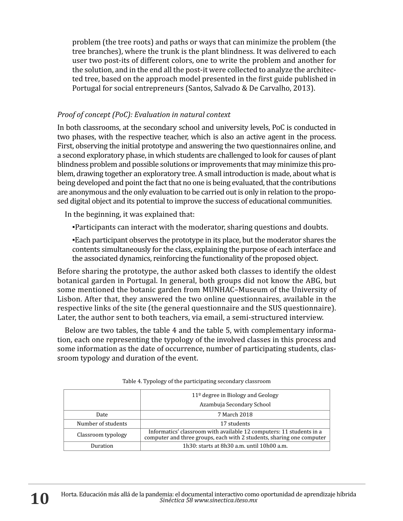problem (the tree roots) and paths or ways that can minimize the problem (the tree branches), where the trunk is the plant blindness. It was delivered to each user two post-its of different colors, one to write the problem and another for the solution, and in the end all the post-it were collected to analyze the architected tree, based on the approach model presented in the first guide published in Portugal for social entrepreneurs (Santos, Salvado & De Carvalho, 2013).

## *Proof of concept (PoC): Evaluation in natural context*

In both classrooms, at the secondary school and university levels, PoC is conducted in two phases, with the respective teacher, which is also an active agent in the process. First, observing the initial prototype and answering the two questionnaires online, and a second exploratory phase, in which students are challenged to look for causes of plant blindness problem and possible solutions or improvements that may minimize this problem, drawing together an exploratory tree. A small introduction is made, about what is being developed and point the fact that no one is being evaluated, that the contributions are anonymous and the only evaluation to be carried out is only in relation to the proposed digital object and its potential to improve the success of educational communities.

In the beginning, it was explained that:

▪Participants can interact with the moderator, sharing questions and doubts.

▪Each participant observes the prototype in its place, but the moderator shares the contents simultaneously for the class, explaining the purpose of each interface and the associated dynamics, reinforcing the functionality of the proposed object.

Before sharing the prototype, the author asked both classes to identify the oldest botanical garden in Portugal. In general, both groups did not know the ABG, but some mentioned the botanic garden from MUNHAC–Museum of the University of Lisbon. After that, they answered the two online questionnaires, available in the respective links of the site (the general questionnaire and the SUS questionnaire). Later, the author sent to both teachers, via email, a semi-structured interview.

Below are two tables, the table 4 and the table 5, with complementary information, each one representing the typology of the involved classes in this process and some information as the date of occurrence, number of participating students, classroom typology and duration of the event.

|                    | $11°$ degree in Biology and Geology                                                                                                           |
|--------------------|-----------------------------------------------------------------------------------------------------------------------------------------------|
|                    | Azambuja Secondary School                                                                                                                     |
| Date               | 7 March 2018                                                                                                                                  |
| Number of students | 17 students                                                                                                                                   |
| Classroom typology | Informatics' classroom with available 12 computers: 11 students in a<br>computer and three groups, each with 2 students, sharing one computer |
| Duration           | 1h30: starts at $8h30$ a.m. until $10h00$ a.m.                                                                                                |

Table 4. Typology of the participating secondary classroom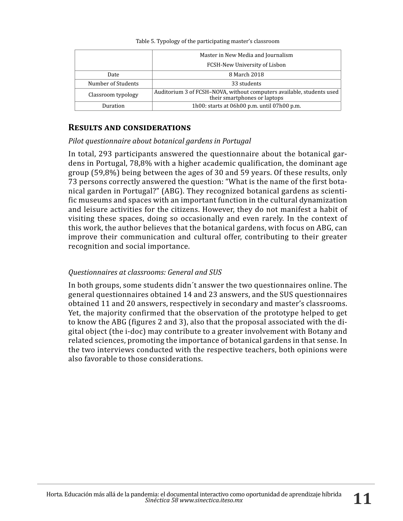Table 5. Typology of the participating master's classroom

|                    | Master in New Media and Journalism                                                                    |
|--------------------|-------------------------------------------------------------------------------------------------------|
|                    | FCSH-New University of Lisbon                                                                         |
| Date               | 8 March 2018                                                                                          |
| Number of Students | 33 students                                                                                           |
| Classroom typology | Auditorium 3 of FCSH-NOVA, without computers available, students used<br>their smartphones or laptops |
| Duration           | 1h00: starts at $06h00$ p.m. until $07h00$ p.m.                                                       |

## **Results and considerations**

#### *Pilot questionnaire about botanical gardens in Portugal*

In total, 293 participants answered the questionnaire about the botanical gardens in Portugal, 78,8% with a higher academic qualification, the dominant age group (59,8%) being between the ages of 30 and 59 years. Of these results, only 73 persons correctly answered the question: "What is the name of the first botanical garden in Portugal?" (ABG). They recognized botanical gardens as scientific museums and spaces with an important function in the cultural dynamization and leisure activities for the citizens. However, they do not manifest a habit of visiting these spaces, doing so occasionally and even rarely. In the context of this work, the author believes that the botanical gardens, with focus on ABG, can improve their communication and cultural offer, contributing to their greater recognition and social importance.

## *Questionnaires at classrooms: General and SUS*

In both groups, some students didn´t answer the two questionnaires online. The general questionnaires obtained 14 and 23 answers, and the SUS questionnaires obtained 11 and 20 answers, respectively in secondary and master's classrooms. Yet, the majority confirmed that the observation of the prototype helped to get to know the ABG (figures 2 and 3), also that the proposal associated with the digital object (the i-doc) may contribute to a greater involvement with Botany and related sciences, promoting the importance of botanical gardens in that sense. In the two interviews conducted with the respective teachers, both opinions were also favorable to those considerations.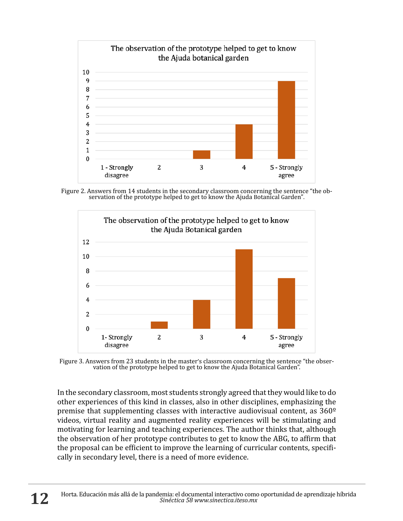

Figure 2. Answers from 14 students in the secondary classroom concerning the sentence "the ob- servation of the prototype helped to get to know the Ajuda Botanical Garden".



Figure 3. Answers from 23 students in the master's classroom concerning the sentence "the obser- vation of the prototype helped to get to know the Ajuda Botanical Garden".

In the secondary classroom, most students strongly agreed that they would like to do other experiences of this kind in classes, also in other disciplines, emphasizing the premise that supplementing classes with interactive audiovisual content, as 360º videos, virtual reality and augmented reality experiences will be stimulating and motivating for learning and teaching experiences. The author thinks that, although the observation of her prototype contributes to get to know the ABG, to affirm that the proposal can be efficient to improve the learning of curricular contents, specifically in secondary level, there is a need of more evidence.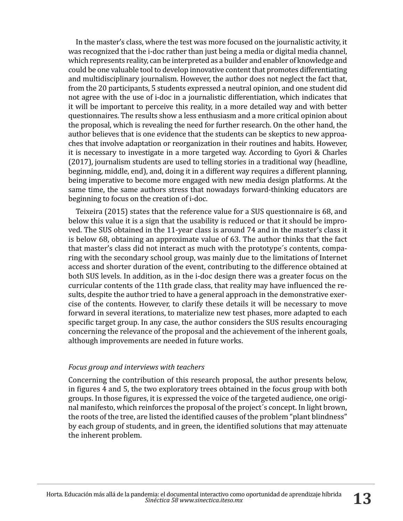In the master's class, where the test was more focused on the journalistic activity, it was recognized that the i-doc rather than just being a media or digital media channel, which represents reality, can be interpreted as a builder and enabler of knowledge and could be one valuable tool to develop innovative content that promotes differentiating and multidisciplinary journalism. However, the author does not neglect the fact that, from the 20 participants, 5 students expressed a neutral opinion, and one student did not agree with the use of i-doc in a journalistic differentiation, which indicates that it will be important to perceive this reality, in a more detailed way and with better questionnaires. The results show a less enthusiasm and a more critical opinion about the proposal, which is revealing the need for further research. On the other hand, the author believes that is one evidence that the students can be skeptics to new approaches that involve adaptation or reorganization in their routines and habits. However, it is necessary to investigate in a more targeted way. According to Gyori & Charles (2017), journalism students are used to telling stories in a traditional way (headline, beginning, middle, end), and, doing it in a different way requires a different planning, being imperative to become more engaged with new media design platforms. At the same time, the same authors stress that nowadays forward-thinking educators are beginning to focus on the creation of i-doc.

Teixeira (2015) states that the reference value for a SUS questionnaire is 68, and below this value it is a sign that the usability is reduced or that it should be improved. The SUS obtained in the 11-year class is around 74 and in the master's class it is below 68, obtaining an approximate value of 63. The author thinks that the fact that master's class did not interact as much with the prototype´s contents, comparing with the secondary school group, was mainly due to the limitations of Internet access and shorter duration of the event, contributing to the difference obtained at both SUS levels. In addition, as in the i-doc design there was a greater focus on the curricular contents of the 11th grade class, that reality may have influenced the results, despite the author tried to have a general approach in the demonstrative exercise of the contents. However, to clarify these details it will be necessary to move forward in several iterations, to materialize new test phases, more adapted to each specific target group. In any case, the author considers the SUS results encouraging concerning the relevance of the proposal and the achievement of the inherent goals, although improvements are needed in future works.

#### *Focus group and interviews with teachers*

Concerning the contribution of this research proposal, the author presents below, in figures 4 and 5, the two exploratory trees obtained in the focus group with both groups. In those figures, it is expressed the voice of the targeted audience, one original manifesto, which reinforces the proposal of the project´s concept. In light brown, the roots of the tree, are listed the identified causes of the problem "plant blindness" by each group of students, and in green, the identified solutions that may attenuate the inherent problem.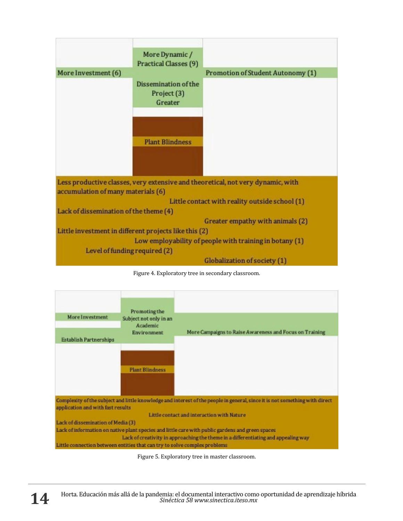

Figure 4. Exploratory tree in secondary classroom.



Figure 5. Exploratory tree in master classroom.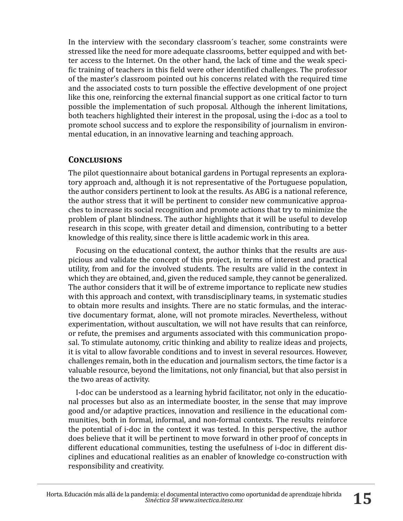In the interview with the secondary classroom´s teacher, some constraints were stressed like the need for more adequate classrooms, better equipped and with better access to the Internet. On the other hand, the lack of time and the weak specific training of teachers in this field were other identified challenges. The professor of the master's classroom pointed out his concerns related with the required time and the associated costs to turn possible the effective development of one project like this one, reinforcing the external financial support as one critical factor to turn possible the implementation of such proposal. Although the inherent limitations, both teachers highlighted their interest in the proposal, using the i-doc as a tool to promote school success and to explore the responsibility of journalism in environmental education, in an innovative learning and teaching approach.

## **Conclusions**

The pilot questionnaire about botanical gardens in Portugal represents an exploratory approach and, although it is not representative of the Portuguese population, the author considers pertinent to look at the results. As ABG is a national reference, the author stress that it will be pertinent to consider new communicative approaches to increase its social recognition and promote actions that try to minimize the problem of plant blindness. The author highlights that it will be useful to develop research in this scope, with greater detail and dimension, contributing to a better knowledge of this reality, since there is little academic work in this area.

Focusing on the educational context, the author thinks that the results are auspicious and validate the concept of this project, in terms of interest and practical utility, from and for the involved students. The results are valid in the context in which they are obtained, and, given the reduced sample, they cannot be generalized. The author considers that it will be of extreme importance to replicate new studies with this approach and context, with transdisciplinary teams, in systematic studies to obtain more results and insights. There are no static formulas, and the interactive documentary format, alone, will not promote miracles. Nevertheless, without experimentation, without auscultation, we will not have results that can reinforce, or refute, the premises and arguments associated with this communication proposal. To stimulate autonomy, critic thinking and ability to realize ideas and projects, it is vital to allow favorable conditions and to invest in several resources. However, challenges remain, both in the education and journalism sectors, the time factor is a valuable resource, beyond the limitations, not only financial, but that also persist in the two areas of activity.

I-doc can be understood as a learning hybrid facilitator, not only in the educational processes but also as an intermediate booster, in the sense that may improve good and/or adaptive practices, innovation and resilience in the educational communities, both in formal, informal, and non-formal contexts. The results reinforce the potential of i-doc in the context it was tested. In this perspective, the author does believe that it will be pertinent to move forward in other proof of concepts in different educational communities, testing the usefulness of i-doc in different disciplines and educational realities as an enabler of knowledge co-construction with responsibility and creativity.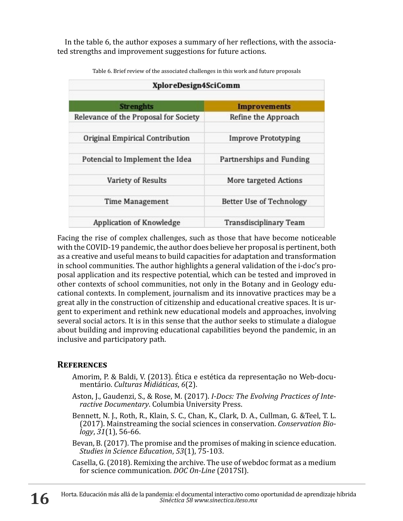In the table 6, the author exposes a summary of her reflections, with the associated strengths and improvement suggestions for future actions.

| XploreDesign4SciComm                  |                            |  |
|---------------------------------------|----------------------------|--|
| <b>Strenghts</b>                      | <b>Improvements</b>        |  |
| Relevance of the Proposal for Society | Refine the Approach        |  |
| Original Empirical Contribution       | <b>Improve Prototyping</b> |  |
| Potencial to Implement the Idea       | Partnerships and Funding   |  |
| Variety of Results                    | More targeted Actions      |  |
| <b>Time Management</b>                | Better Use of Technology   |  |
| Application of Knowledge              | Transdisciplinary Team     |  |

Table 6. Brief review of the associated challenges in this work and future proposals

Facing the rise of complex challenges, such as those that have become noticeable with the COVID-19 pandemic, the author does believe her proposal is pertinent, both as a creative and useful means to build capacities for adaptation and transformation in school communities. The author highlights a general validation of the i-doc's proposal application and its respective potential, which can be tested and improved in other contexts of school communities, not only in the Botany and in Geology educational contexts. In complement, journalism and its innovative practices may be a great ally in the construction of citizenship and educational creative spaces. It is urgent to experiment and rethink new educational models and approaches, involving several social actors. It is in this sense that the author seeks to stimulate a dialogue about building and improving educational capabilities beyond the pandemic, in an inclusive and participatory path.

## **References**

- Amorim, P. & Baldi, V. (2013). Ética e estética da representação no Web-docu- mentário. *Culturas Midiáticas*, *6*(2).
- Aston, J., Gaudenzi, S., & Rose, M. (2017). *I-Docs: The Evolving Practices of Inte- ractive Documentary*. Columbia University Press.
- Bennett, N. J., Roth, R., Klain, S. C., Chan, K., Clark, D. A., Cullman, G. &Teel, T. L. (2017). Mainstreaming the social sciences in conservation. *Conservation Bio- logy*, *31*(1), 56-66.
- Bevan, B. (2017). The promise and the promises of making in science education. *Studies in Science Education*, *53*(1), 75-103.
- Casella, G. (2018). Remixing the archive. The use of webdoc format as a medium for science communication. *DOC On-Line* (2017SI).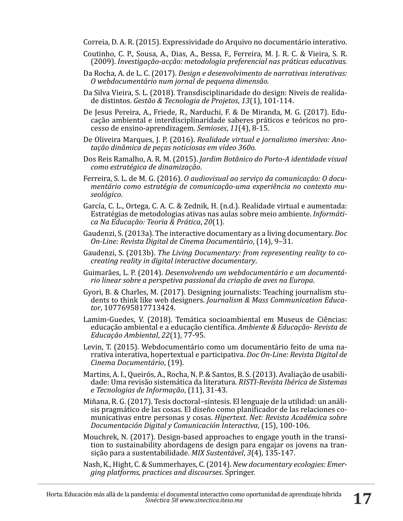Correia, D. A. R. (2015). Expressividade do Arquivo no documentário interativo.

- Coutinho, C. P., Sousa, A., Dias, A., Bessa, F., Ferreira, M. J. R. C. & Vieira, S. R. (2009). *Investigação-acção: metodologia preferencial nas práticas educativas.*
- Da Rocha, A. de L. C. (2017). *Design e desenvolvimento de narrativas interativas: O webdocumentário num jornal de pequena dimensão.*
- Da Silva Vieira, S. L. (2018). Transdisciplinaridade do design: Niveis de realidade distintos. *Gestão & Tecnologia de Projetos*, *13*(1), 101-114.
- De Jesus Pereira, A., Friede, R., Narduchi, F. & De Miranda, M. G. (2017). Educação ambiental e interdisciplinaridade saberes práticos e teóricos no processo de ensino-aprendizagem. *Semioses*, *11*(4), 8-15.
- De Oliveira Marques, J. P. (2016). *Realidade virtual e jornalismo imersivo: Anotação dinâmica de peças noticiosas em vídeo 360o.*
- Dos Reis Ramalho, A. R. M. (2015). *Jardim Botânico do Porto-A identidade visual como estratégica de dinamização*.
- Ferreira, S. L. de M. G. (2016). *O audiovisual ao serviço da comunicação: O documentário como estratégia de comunicação-uma experiência no contexto museológico*.
- García, C. L., Ortega, C. A. C. & Zednik, H. (n.d.). Realidade virtual e aumentada: Estratégias de metodologias ativas nas aulas sobre meio ambiente. *Informática Na Educação: Teoria & Prática*, *20*(1).
- Gaudenzi, S. (2013a). The interactive documentary as a living documentary. *Doc On-Line: Revista Digital de Cinema Documentário*, (14), 9–31.
- Gaudenzi, S. (2013b). *The Living Documentary: from representing reality to cocreating reality in digital interactive documentary*.
- Guimarães, L. P. (2014). *Desenvolvendo um webdocumentário e um documentário linear sobre a perspetiva passional da criação de aves na Europa*.
- Gyori, B. & Charles, M. (2017). Designing journalists: Teaching journalism students to think like web designers. *Journalism & Mass Communication Educator*, 1077695817713424.
- Lamim-Guedes, V. (2018). Temática socioambiental em Museus de Ciências: educação ambiental e a educação científica. *Ambiente & Educação- Revista de Educação Ambiental*, *22*(1), 77-95.
- Levin, T. (2015). Webdocumentário como um documentário feito de uma narrativa interativa, hopertextual e participativa. *Doc On-Line: Revista Digital de Cinema Documentário*, (19).
- Martins, A. I., Queirós, A., Rocha, N. P. & Santos, B. S. (2013). Avaliação de usabilidade: Uma revisão sistemática da literatura. *RISTI-Revista Ibérica de Sistemas e Tecnologias de Informação*, (11), 31-43.
- Miñana, R. G. (2017). Tesis doctoral–síntesis. El lenguaje de la utilidad: un análisis pragmático de las cosas. El diseño como planificador de las relaciones comunicativas entre personas y cosas. *Hipertext. Net: Revista Académica sobre Documentación Digital y Comunicación Interactiva*, (15), 100-106.
- Mouchrek, N. (2017). Design-based approaches to engage youth in the transition to sustainability abordagens de design para engajar os jovens na transição para a sustentabilidade. *MIX Sustentável*, *3*(4), 135-147.
- Nash, K., Hight, C. & Summerhayes, C. (2014). *New documentary ecologies: Emerging platforms, practices and discourses*. Springer.